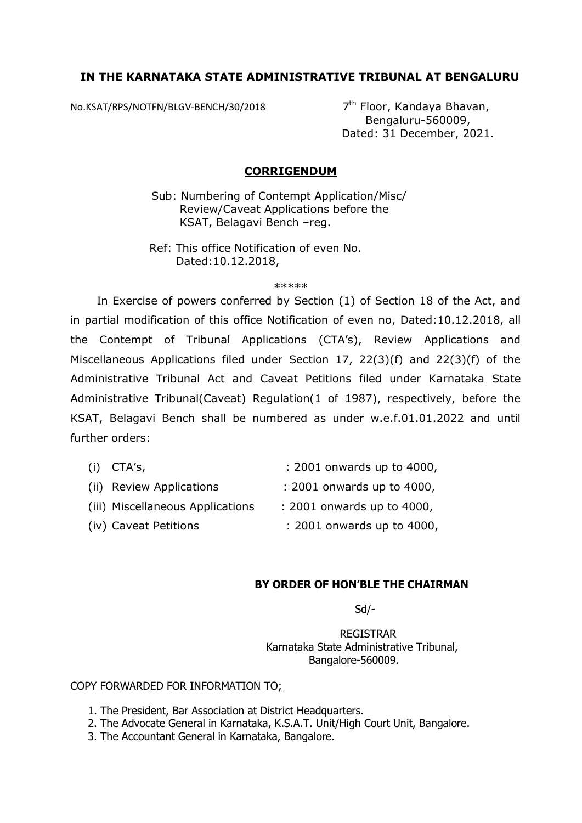## **IN THE KARNATAKA STATE ADMINISTRATIVE TRIBUNAL AT BENGALURU**

No.KSAT/RPS/NOTFN/BLGV-BENCH/30/2018 7<sup>th</sup> Floor, Kandaya Bhavan,

 Bengaluru-560009, Dated: 31 December, 2021.

## **CORRIGENDUM**

Sub: Numbering of Contempt Application/Misc/ Review/Caveat Applications before the KSAT, Belagavi Bench –reg.

 Ref: This office Notification of even No. Dated:10.12.2018,

\*\*\*\*\*

 In Exercise of powers conferred by Section (1) of Section 18 of the Act, and in partial modification of this office Notification of even no, Dated:10.12.2018, all the Contempt of Tribunal Applications (CTA's), Review Applications and Miscellaneous Applications filed under Section 17, 22(3)(f) and 22(3)(f) of the Administrative Tribunal Act and Caveat Petitions filed under Karnataka State Administrative Tribunal(Caveat) Regulation(1 of 1987), respectively, before the KSAT, Belagavi Bench shall be numbered as under w.e.f.01.01.2022 and until further orders:

| $(i)$ CTA's,                     | : 2001 onwards up to 4000, |
|----------------------------------|----------------------------|
| (ii) Review Applications         | : 2001 onwards up to 4000, |
| (iii) Miscellaneous Applications | : 2001 onwards up to 4000, |
| (iv) Caveat Petitions            | : 2001 onwards up to 4000, |

## **BY ORDER OF HON'BLE THE CHAIRMAN**

Sd/-

 REGISTRAR Karnataka State Administrative Tribunal, Bangalore-560009.

## COPY FORWARDED FOR INFORMATION TO;

- 1. The President, Bar Association at District Headquarters.
- 2. The Advocate General in Karnataka, K.S.A.T. Unit/High Court Unit, Bangalore.
- 3. The Accountant General in Karnataka, Bangalore.